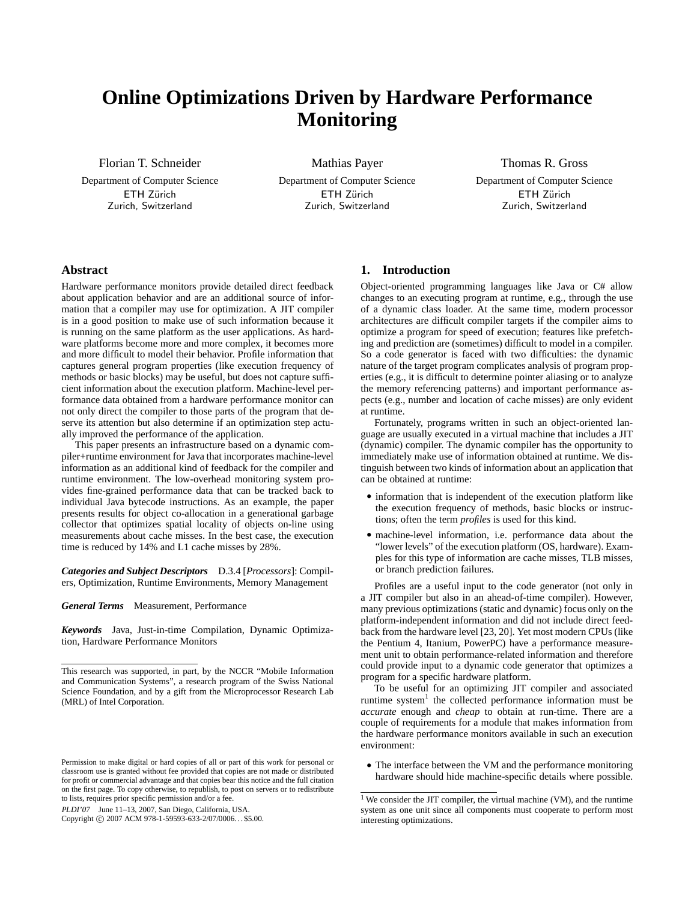# **Online Optimizations Driven by Hardware Performance Monitoring**

Florian T. Schneider

Department of Computer Science ETH Zürich Zurich, Switzerland

Mathias Payer Department of Computer Science ETH Zürich Zurich, Switzerland

Thomas R. Gross

Department of Computer Science ETH Zürich Zurich, Switzerland

# **Abstract**

Hardware performance monitors provide detailed direct feedback about application behavior and are an additional source of information that a compiler may use for optimization. A JIT compiler is in a good position to make use of such information because it is running on the same platform as the user applications. As hardware platforms become more and more complex, it becomes more and more difficult to model their behavior. Profile information that captures general program properties (like execution frequency of methods or basic blocks) may be useful, but does not capture sufficient information about the execution platform. Machine-level performance data obtained from a hardware performance monitor can not only direct the compiler to those parts of the program that deserve its attention but also determine if an optimization step actually improved the performance of the application.

This paper presents an infrastructure based on a dynamic compiler+runtime environment for Java that incorporates machine-level information as an additional kind of feedback for the compiler and runtime environment. The low-overhead monitoring system provides fine-grained performance data that can be tracked back to individual Java bytecode instructions. As an example, the paper presents results for object co-allocation in a generational garbage collector that optimizes spatial locality of objects on-line using measurements about cache misses. In the best case, the execution time is reduced by 14% and L1 cache misses by 28%.

*Categories and Subject Descriptors* D.3.4 [*Processors*]: Compilers, Optimization, Runtime Environments, Memory Management

### *General Terms* Measurement, Performance

*Keywords* Java, Just-in-time Compilation, Dynamic Optimization, Hardware Performance Monitors

Copyright © 2007 ACM 978-1-59593-633-2/07/0006... \$5.00.

# **1. Introduction**

Object-oriented programming languages like Java or C# allow changes to an executing program at runtime, e.g., through the use of a dynamic class loader. At the same time, modern processor architectures are difficult compiler targets if the compiler aims to optimize a program for speed of execution; features like prefetching and prediction are (sometimes) difficult to model in a compiler. So a code generator is faced with two difficulties: the dynamic nature of the target program complicates analysis of program properties (e.g., it is difficult to determine pointer aliasing or to analyze the memory referencing patterns) and important performance aspects (e.g., number and location of cache misses) are only evident at runtime.

Fortunately, programs written in such an object-oriented language are usually executed in a virtual machine that includes a JIT (dynamic) compiler. The dynamic compiler has the opportunity to immediately make use of information obtained at runtime. We distinguish between two kinds of information about an application that can be obtained at runtime:

- *•* information that is independent of the execution platform like the execution frequency of methods, basic blocks or instructions; often the term *profiles* is used for this kind.
- *•* machine-level information, i.e. performance data about the "lower levels" of the execution platform (OS, hardware). Examples for this type of information are cache misses, TLB misses, or branch prediction failures.

Profiles are a useful input to the code generator (not only in a JIT compiler but also in an ahead-of-time compiler). However, many previous optimizations (static and dynamic) focus only on the platform-independent information and did not include direct feedback from the hardware level [23, 20]. Yet most modern CPUs (like the Pentium 4, Itanium, PowerPC) have a performance measurement unit to obtain performance-related information and therefore could provide input to a dynamic code generator that optimizes a program for a specific hardware platform.

To be useful for an optimizing JIT compiler and associated runtime system $1$  the collected performance information must be *accurate* enough and *cheap* to obtain at run-time. There are a couple of requirements for a module that makes information from the hardware performance monitors available in such an execution environment:

*•* The interface between the VM and the performance monitoring hardware should hide machine-specific details where possible.

This research was supported, in part, by the NCCR "Mobile Information and Communication Systems", a research program of the Swiss National Science Foundation, and by a gift from the Microprocessor Research Lab (MRL) of Intel Corporation.

Permission to make digital or hard copies of all or part of this work for personal or classroom use is granted without fee provided that copies are not made or distributed for profit or commercial advantage and that copies bear this notice and the full citation on the first page. To copy otherwise, to republish, to post on servers or to redistribute to lists, requires prior specific permission and/or a fee.

PLDI'07 June 11–13, 2007, San Diego, California, USA.

<sup>&</sup>lt;sup>1</sup> We consider the JIT compiler, the virtual machine (VM), and the runtime system as one unit since all components must cooperate to perform most interesting optimizations.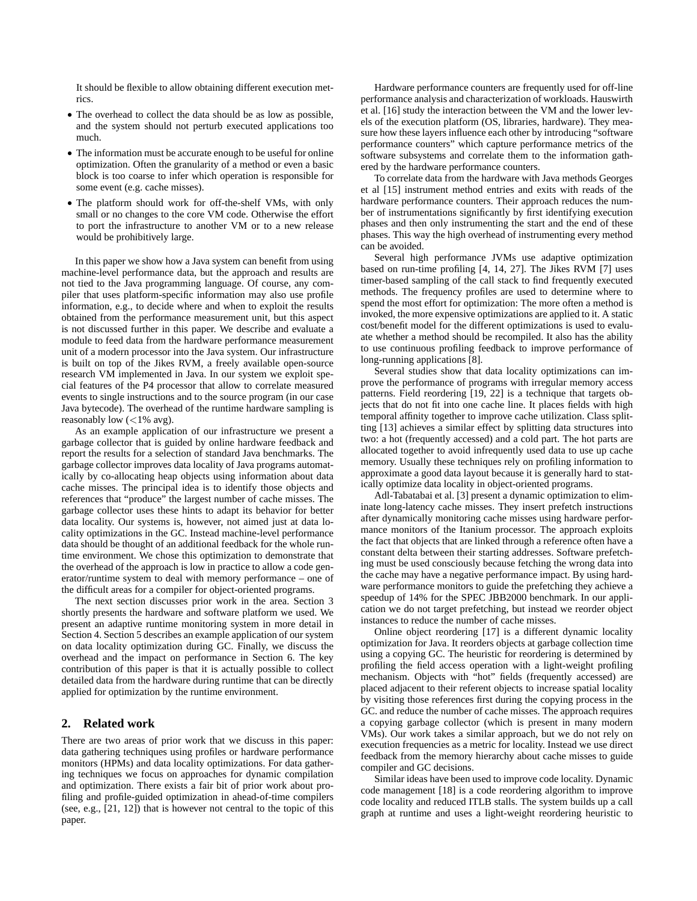It should be flexible to allow obtaining different execution metrics.

- *•* The overhead to collect the data should be as low as possible, and the system should not perturb executed applications too much.
- *•* The information must be accurate enough to be useful for online optimization. Often the granularity of a method or even a basic block is too coarse to infer which operation is responsible for some event (e.g. cache misses).
- *•* The platform should work for off-the-shelf VMs, with only small or no changes to the core VM code. Otherwise the effort to port the infrastructure to another VM or to a new release would be prohibitively large.

In this paper we show how a Java system can benefit from using machine-level performance data, but the approach and results are not tied to the Java programming language. Of course, any compiler that uses platform-specific information may also use profile information, e.g., to decide where and when to exploit the results obtained from the performance measurement unit, but this aspect is not discussed further in this paper. We describe and evaluate a module to feed data from the hardware performance measurement unit of a modern processor into the Java system. Our infrastructure is built on top of the Jikes RVM, a freely available open-source research VM implemented in Java. In our system we exploit special features of the P4 processor that allow to correlate measured events to single instructions and to the source program (in our case Java bytecode). The overhead of the runtime hardware sampling is reasonably low (*<*1% avg).

As an example application of our infrastructure we present a garbage collector that is guided by online hardware feedback and report the results for a selection of standard Java benchmarks. The garbage collector improves data locality of Java programs automatically by co-allocating heap objects using information about data cache misses. The principal idea is to identify those objects and references that "produce" the largest number of cache misses. The garbage collector uses these hints to adapt its behavior for better data locality. Our systems is, however, not aimed just at data locality optimizations in the GC. Instead machine-level performance data should be thought of an additional feedback for the whole runtime environment. We chose this optimization to demonstrate that the overhead of the approach is low in practice to allow a code generator/runtime system to deal with memory performance – one of the difficult areas for a compiler for object-oriented programs.

The next section discusses prior work in the area. Section 3 shortly presents the hardware and software platform we used. We present an adaptive runtime monitoring system in more detail in Section 4. Section 5 describes an example application of our system on data locality optimization during GC. Finally, we discuss the overhead and the impact on performance in Section 6. The key contribution of this paper is that it is actually possible to collect detailed data from the hardware during runtime that can be directly applied for optimization by the runtime environment.

## **2. Related work**

There are two areas of prior work that we discuss in this paper: data gathering techniques using profiles or hardware performance monitors (HPMs) and data locality optimizations. For data gathering techniques we focus on approaches for dynamic compilation and optimization. There exists a fair bit of prior work about profiling and profile-guided optimization in ahead-of-time compilers (see, e.g., [21, 12]) that is however not central to the topic of this paper.

Hardware performance counters are frequently used for off-line performance analysis and characterization of workloads. Hauswirth et al. [16] study the interaction between the VM and the lower levels of the execution platform (OS, libraries, hardware). They measure how these layers influence each other by introducing "software performance counters" which capture performance metrics of the software subsystems and correlate them to the information gathered by the hardware performance counters.

To correlate data from the hardware with Java methods Georges et al [15] instrument method entries and exits with reads of the hardware performance counters. Their approach reduces the number of instrumentations significantly by first identifying execution phases and then only instrumenting the start and the end of these phases. This way the high overhead of instrumenting every method can be avoided.

Several high performance JVMs use adaptive optimization based on run-time profiling [4, 14, 27]. The Jikes RVM [7] uses timer-based sampling of the call stack to find frequently executed methods. The frequency profiles are used to determine where to spend the most effort for optimization: The more often a method is invoked, the more expensive optimizations are applied to it. A static cost/benefit model for the different optimizations is used to evaluate whether a method should be recompiled. It also has the ability to use continuous profiling feedback to improve performance of long-running applications [8].

Several studies show that data locality optimizations can improve the performance of programs with irregular memory access patterns. Field reordering [19, 22] is a technique that targets objects that do not fit into one cache line. It places fields with high temporal affinity together to improve cache utilization. Class splitting [13] achieves a similar effect by splitting data structures into two: a hot (frequently accessed) and a cold part. The hot parts are allocated together to avoid infrequently used data to use up cache memory. Usually these techniques rely on profiling information to approximate a good data layout because it is generally hard to statically optimize data locality in object-oriented programs.

Adl-Tabatabai et al. [3] present a dynamic optimization to eliminate long-latency cache misses. They insert prefetch instructions after dynamically monitoring cache misses using hardware performance monitors of the Itanium processor. The approach exploits the fact that objects that are linked through a reference often have a constant delta between their starting addresses. Software prefetching must be used consciously because fetching the wrong data into the cache may have a negative performance impact. By using hardware performance monitors to guide the prefetching they achieve a speedup of 14% for the SPEC JBB2000 benchmark. In our application we do not target prefetching, but instead we reorder object instances to reduce the number of cache misses.

Online object reordering [17] is a different dynamic locality optimization for Java. It reorders objects at garbage collection time using a copying GC. The heuristic for reordering is determined by profiling the field access operation with a light-weight profiling mechanism. Objects with "hot" fields (frequently accessed) are placed adjacent to their referent objects to increase spatial locality by visiting those references first during the copying process in the GC. and reduce the number of cache misses. The approach requires a copying garbage collector (which is present in many modern VMs). Our work takes a similar approach, but we do not rely on execution frequencies as a metric for locality. Instead we use direct feedback from the memory hierarchy about cache misses to guide compiler and GC decisions.

Similar ideas have been used to improve code locality. Dynamic code management [18] is a code reordering algorithm to improve code locality and reduced ITLB stalls. The system builds up a call graph at runtime and uses a light-weight reordering heuristic to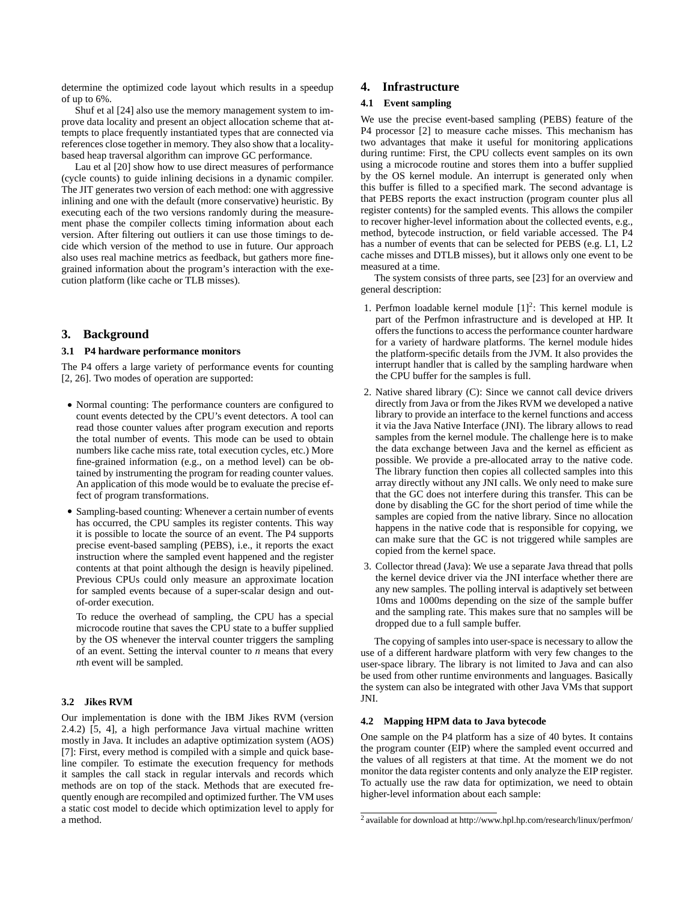determine the optimized code layout which results in a speedup of up to 6%.

Shuf et al [24] also use the memory management system to improve data locality and present an object allocation scheme that attempts to place frequently instantiated types that are connected via references close together in memory. They also show that a localitybased heap traversal algorithm can improve GC performance.

Lau et al [20] show how to use direct measures of performance (cycle counts) to guide inlining decisions in a dynamic compiler. The JIT generates two version of each method: one with aggressive inlining and one with the default (more conservative) heuristic. By executing each of the two versions randomly during the measurement phase the compiler collects timing information about each version. After filtering out outliers it can use those timings to decide which version of the method to use in future. Our approach also uses real machine metrics as feedback, but gathers more finegrained information about the program's interaction with the execution platform (like cache or TLB misses).

## **3. Background**

## **3.1 P4 hardware performance monitors**

The P4 offers a large variety of performance events for counting [2, 26]. Two modes of operation are supported:

- *•* Normal counting: The performance counters are configured to count events detected by the CPU's event detectors. A tool can read those counter values after program execution and reports the total number of events. This mode can be used to obtain numbers like cache miss rate, total execution cycles, etc.) More fine-grained information (e.g., on a method level) can be obtained by instrumenting the program for reading counter values. An application of this mode would be to evaluate the precise effect of program transformations.
- *•* Sampling-based counting: Whenever a certain number of events has occurred, the CPU samples its register contents. This way it is possible to locate the source of an event. The P4 supports precise event-based sampling (PEBS), i.e., it reports the exact instruction where the sampled event happened and the register contents at that point although the design is heavily pipelined. Previous CPUs could only measure an approximate location for sampled events because of a super-scalar design and outof-order execution.

To reduce the overhead of sampling, the CPU has a special microcode routine that saves the CPU state to a buffer supplied by the OS whenever the interval counter triggers the sampling of an event. Setting the interval counter to *n* means that every *n*th event will be sampled.

## **3.2 Jikes RVM**

Our implementation is done with the IBM Jikes RVM (version 2.4.2) [5, 4], a high performance Java virtual machine written mostly in Java. It includes an adaptive optimization system (AOS) [7]: First, every method is compiled with a simple and quick baseline compiler. To estimate the execution frequency for methods it samples the call stack in regular intervals and records which methods are on top of the stack. Methods that are executed frequently enough are recompiled and optimized further. The VM uses a static cost model to decide which optimization level to apply for a method.

## **4. Infrastructure**

## **4.1 Event sampling**

We use the precise event-based sampling (PEBS) feature of the P4 processor [2] to measure cache misses. This mechanism has two advantages that make it useful for monitoring applications during runtime: First, the CPU collects event samples on its own using a microcode routine and stores them into a buffer supplied by the OS kernel module. An interrupt is generated only when this buffer is filled to a specified mark. The second advantage is that PEBS reports the exact instruction (program counter plus all register contents) for the sampled events. This allows the compiler to recover higher-level information about the collected events, e.g., method, bytecode instruction, or field variable accessed. The P4 has a number of events that can be selected for PEBS (e.g. L1, L2 cache misses and DTLB misses), but it allows only one event to be measured at a time.

The system consists of three parts, see [23] for an overview and general description:

- 1. Perfmon loadable kernel module  $[1]^2$ : This kernel module is part of the Perfmon infrastructure and is developed at HP. It offers the functions to access the performance counter hardware for a variety of hardware platforms. The kernel module hides the platform-specific details from the JVM. It also provides the interrupt handler that is called by the sampling hardware when the CPU buffer for the samples is full.
- 2. Native shared library (C): Since we cannot call device drivers directly from Java or from the Jikes RVM we developed a native library to provide an interface to the kernel functions and access it via the Java Native Interface (JNI). The library allows to read samples from the kernel module. The challenge here is to make the data exchange between Java and the kernel as efficient as possible. We provide a pre-allocated array to the native code. The library function then copies all collected samples into this array directly without any JNI calls. We only need to make sure that the GC does not interfere during this transfer. This can be done by disabling the GC for the short period of time while the samples are copied from the native library. Since no allocation happens in the native code that is responsible for copying, we can make sure that the GC is not triggered while samples are copied from the kernel space.
- 3. Collector thread (Java): We use a separate Java thread that polls the kernel device driver via the JNI interface whether there are any new samples. The polling interval is adaptively set between 10ms and 1000ms depending on the size of the sample buffer and the sampling rate. This makes sure that no samples will be dropped due to a full sample buffer.

The copying of samples into user-space is necessary to allow the use of a different hardware platform with very few changes to the user-space library. The library is not limited to Java and can also be used from other runtime environments and languages. Basically the system can also be integrated with other Java VMs that support JNI.

## **4.2 Mapping HPM data to Java bytecode**

One sample on the P4 platform has a size of 40 bytes. It contains the program counter (EIP) where the sampled event occurred and the values of all registers at that time. At the moment we do not monitor the data register contents and only analyze the EIP register. To actually use the raw data for optimization, we need to obtain higher-level information about each sample:

<sup>2</sup> available for download at http://www.hpl.hp.com/research/linux/perfmon/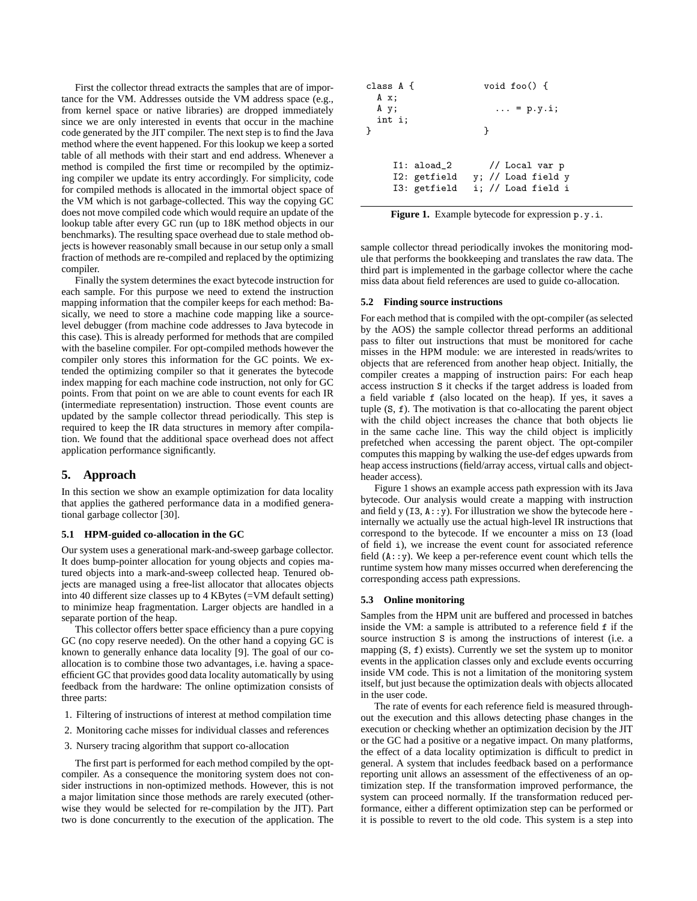First the collector thread extracts the samples that are of importance for the VM. Addresses outside the VM address space (e.g., from kernel space or native libraries) are dropped immediately since we are only interested in events that occur in the machine code generated by the JIT compiler. The next step is to find the Java method where the event happened. For this lookup we keep a sorted table of all methods with their start and end address. Whenever a method is compiled the first time or recompiled by the optimizing compiler we update its entry accordingly. For simplicity, code for compiled methods is allocated in the immortal object space of the VM which is not garbage-collected. This way the copying GC does not move compiled code which would require an update of the lookup table after every GC run (up to 18K method objects in our benchmarks). The resulting space overhead due to stale method objects is however reasonably small because in our setup only a small fraction of methods are re-compiled and replaced by the optimizing compiler.

Finally the system determines the exact bytecode instruction for each sample. For this purpose we need to extend the instruction mapping information that the compiler keeps for each method: Basically, we need to store a machine code mapping like a sourcelevel debugger (from machine code addresses to Java bytecode in this case). This is already performed for methods that are compiled with the baseline compiler. For opt-compiled methods however the compiler only stores this information for the GC points. We extended the optimizing compiler so that it generates the bytecode index mapping for each machine code instruction, not only for GC points. From that point on we are able to count events for each IR (intermediate representation) instruction. Those event counts are updated by the sample collector thread periodically. This step is required to keep the IR data structures in memory after compilation. We found that the additional space overhead does not affect application performance significantly.

# **5. Approach**

In this section we show an example optimization for data locality that applies the gathered performance data in a modified generational garbage collector [30].

#### **5.1 HPM-guided co-allocation in the GC**

Our system uses a generational mark-and-sweep garbage collector. It does bump-pointer allocation for young objects and copies matured objects into a mark-and-sweep collected heap. Tenured objects are managed using a free-list allocator that allocates objects into 40 different size classes up to 4 KBytes (=VM default setting) to minimize heap fragmentation. Larger objects are handled in a separate portion of the heap.

This collector offers better space efficiency than a pure copying GC (no copy reserve needed). On the other hand a copying GC is known to generally enhance data locality [9]. The goal of our coallocation is to combine those two advantages, i.e. having a spaceefficient GC that provides good data locality automatically by using feedback from the hardware: The online optimization consists of three parts:

- 1. Filtering of instructions of interest at method compilation time
- 2. Monitoring cache misses for individual classes and references
- 3. Nursery tracing algorithm that support co-allocation

The first part is performed for each method compiled by the optcompiler. As a consequence the monitoring system does not consider instructions in non-optimized methods. However, this is not a major limitation since those methods are rarely executed (otherwise they would be selected for re-compilation by the JIT). Part two is done concurrently to the execution of the application. The

| class A f<br>A x;                             | void foo() {                                                 |
|-----------------------------------------------|--------------------------------------------------------------|
| Ау;<br>int i;                                 | $\ldots$ = p.y.i;                                            |
|                                               |                                                              |
| $I1:$ aload 2<br>I2: getfield<br>I3: getfield | // Local var p<br>y; // Load field y<br>i; $//$ Load field i |

**Figure 1.** Example bytecode for expression p.y.i.

sample collector thread periodically invokes the monitoring module that performs the bookkeeping and translates the raw data. The third part is implemented in the garbage collector where the cache miss data about field references are used to guide co-allocation.

#### **5.2 Finding source instructions**

For each method that is compiled with the opt-compiler (as selected by the AOS) the sample collector thread performs an additional pass to filter out instructions that must be monitored for cache misses in the HPM module: we are interested in reads/writes to objects that are referenced from another heap object. Initially, the compiler creates a mapping of instruction pairs: For each heap access instruction S it checks if the target address is loaded from a field variable f (also located on the heap). If yes, it saves a tuple (S, f). The motivation is that co-allocating the parent object with the child object increases the chance that both objects lie in the same cache line. This way the child object is implicitly prefetched when accessing the parent object. The opt-compiler computes this mapping by walking the use-def edges upwards from heap access instructions (field/array access, virtual calls and objectheader access).

Figure 1 shows an example access path expression with its Java bytecode. Our analysis would create a mapping with instruction and field y  $(13, A: y)$ . For illustration we show the bytecode here internally we actually use the actual high-level IR instructions that correspond to the bytecode. If we encounter a miss on I3 (load of field i), we increase the event count for associated reference field  $(A::y)$ . We keep a per-reference event count which tells the runtime system how many misses occurred when dereferencing the corresponding access path expressions.

#### **5.3 Online monitoring**

Samples from the HPM unit are buffered and processed in batches inside the VM: a sample is attributed to a reference field f if the source instruction S is among the instructions of interest (i.e. a mapping (S, f) exists). Currently we set the system up to monitor events in the application classes only and exclude events occurring inside VM code. This is not a limitation of the monitoring system itself, but just because the optimization deals with objects allocated in the user code.

The rate of events for each reference field is measured throughout the execution and this allows detecting phase changes in the execution or checking whether an optimization decision by the JIT or the GC had a positive or a negative impact. On many platforms, the effect of a data locality optimization is difficult to predict in general. A system that includes feedback based on a performance reporting unit allows an assessment of the effectiveness of an optimization step. If the transformation improved performance, the system can proceed normally. If the transformation reduced performance, either a different optimization step can be performed or it is possible to revert to the old code. This system is a step into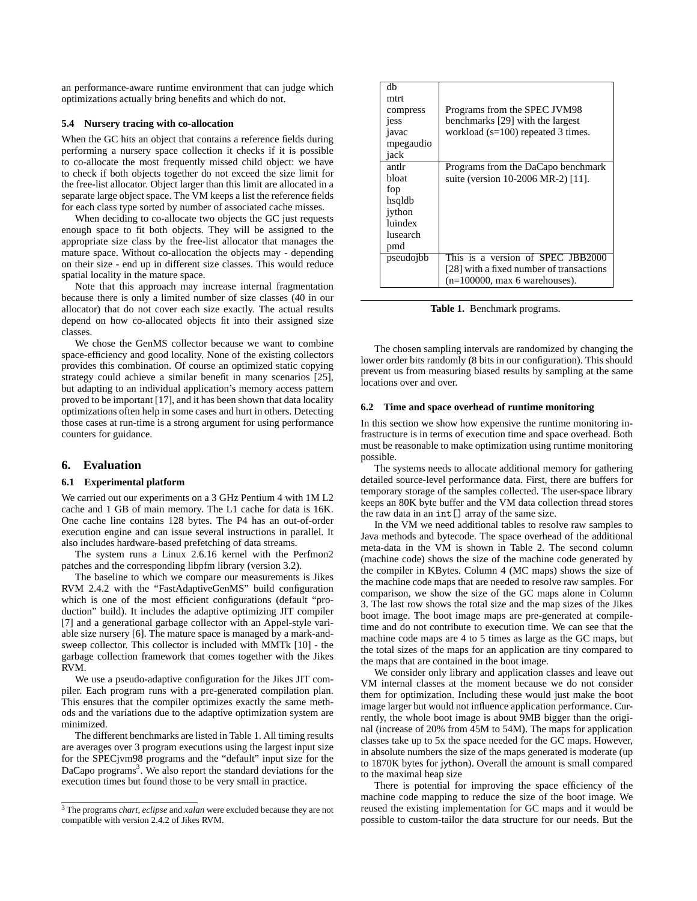an performance-aware runtime environment that can judge which optimizations actually bring benefits and which do not.

## **5.4 Nursery tracing with co-allocation**

When the GC hits an object that contains a reference fields during performing a nursery space collection it checks if it is possible to co-allocate the most frequently missed child object: we have to check if both objects together do not exceed the size limit for the free-list allocator. Object larger than this limit are allocated in a separate large object space. The VM keeps a list the reference fields for each class type sorted by number of associated cache misses.

When deciding to co-allocate two objects the GC just requests enough space to fit both objects. They will be assigned to the appropriate size class by the free-list allocator that manages the mature space. Without co-allocation the objects may - depending on their size - end up in different size classes. This would reduce spatial locality in the mature space.

Note that this approach may increase internal fragmentation because there is only a limited number of size classes (40 in our allocator) that do not cover each size exactly. The actual results depend on how co-allocated objects fit into their assigned size classes.

We chose the GenMS collector because we want to combine space-efficiency and good locality. None of the existing collectors provides this combination. Of course an optimized static copying strategy could achieve a similar benefit in many scenarios [25], but adapting to an individual application's memory access pattern proved to be important [17], and it has been shown that data locality optimizations often help in some cases and hurt in others. Detecting those cases at run-time is a strong argument for using performance counters for guidance.

## **6. Evaluation**

## **6.1 Experimental platform**

We carried out our experiments on a 3 GHz Pentium 4 with 1M L2 cache and 1 GB of main memory. The L1 cache for data is 16K. One cache line contains 128 bytes. The P4 has an out-of-order execution engine and can issue several instructions in parallel. It also includes hardware-based prefetching of data streams.

The system runs a Linux 2.6.16 kernel with the Perfmon2 patches and the corresponding libpfm library (version 3.2).

The baseline to which we compare our measurements is Jikes RVM 2.4.2 with the "FastAdaptiveGenMS" build configuration which is one of the most efficient configurations (default "production" build). It includes the adaptive optimizing JIT compiler [7] and a generational garbage collector with an Appel-style variable size nursery [6]. The mature space is managed by a mark-andsweep collector. This collector is included with MMTk [10] - the garbage collection framework that comes together with the Jikes RVM.

We use a pseudo-adaptive configuration for the Jikes JIT compiler. Each program runs with a pre-generated compilation plan. This ensures that the compiler optimizes exactly the same methods and the variations due to the adaptive optimization system are minimized.

The different benchmarks are listed in Table 1. All timing results are averages over 3 program executions using the largest input size for the SPECjvm98 programs and the "default" input size for the DaCapo programs<sup>3</sup>. We also report the standard deviations for the execution times but found those to be very small in practice.

| dh        |                                          |
|-----------|------------------------------------------|
| mtrt      |                                          |
| compress  | Programs from the SPEC JVM98             |
| jess      | benchmarks [29] with the largest         |
| javac     | workload ( $s=100$ ) repeated 3 times.   |
| mpegaudio |                                          |
| jack      |                                          |
| antlr     | Programs from the DaCapo benchmark       |
| bloat     | suite (version 10-2006 MR-2) [11].       |
| fop       |                                          |
| hsqldb    |                                          |
| jython    |                                          |
| luindex   |                                          |
| lusearch  |                                          |
| pmd       |                                          |
| pseudojbb | This is a version of SPEC JBB2000        |
|           | [28] with a fixed number of transactions |
|           | $(n=100000, max 6$ warehouses).          |

**Table 1.** Benchmark programs.

The chosen sampling intervals are randomized by changing the lower order bits randomly (8 bits in our configuration). This should prevent us from measuring biased results by sampling at the same locations over and over.

#### **6.2 Time and space overhead of runtime monitoring**

In this section we show how expensive the runtime monitoring infrastructure is in terms of execution time and space overhead. Both must be reasonable to make optimization using runtime monitoring possible.

The systems needs to allocate additional memory for gathering detailed source-level performance data. First, there are buffers for temporary storage of the samples collected. The user-space library keeps an 80K byte buffer and the VM data collection thread stores the raw data in an int[] array of the same size.

In the VM we need additional tables to resolve raw samples to Java methods and bytecode. The space overhead of the additional meta-data in the VM is shown in Table 2. The second column (machine code) shows the size of the machine code generated by the compiler in KBytes. Column 4 (MC maps) shows the size of the machine code maps that are needed to resolve raw samples. For comparison, we show the size of the GC maps alone in Column 3. The last row shows the total size and the map sizes of the Jikes boot image. The boot image maps are pre-generated at compiletime and do not contribute to execution time. We can see that the machine code maps are 4 to 5 times as large as the GC maps, but the total sizes of the maps for an application are tiny compared to the maps that are contained in the boot image.

We consider only library and application classes and leave out VM internal classes at the moment because we do not consider them for optimization. Including these would just make the boot image larger but would not influence application performance. Currently, the whole boot image is about 9MB bigger than the original (increase of 20% from 45M to 54M). The maps for application classes take up to 5x the space needed for the GC maps. However, in absolute numbers the size of the maps generated is moderate (up to 1870K bytes for jython). Overall the amount is small compared to the maximal heap size

There is potential for improving the space efficiency of the machine code mapping to reduce the size of the boot image. We reused the existing implementation for GC maps and it would be possible to custom-tailor the data structure for our needs. But the

<sup>3</sup> The programs *chart*, *eclipse* and *xalan* were excluded because they are not compatible with version 2.4.2 of Jikes RVM.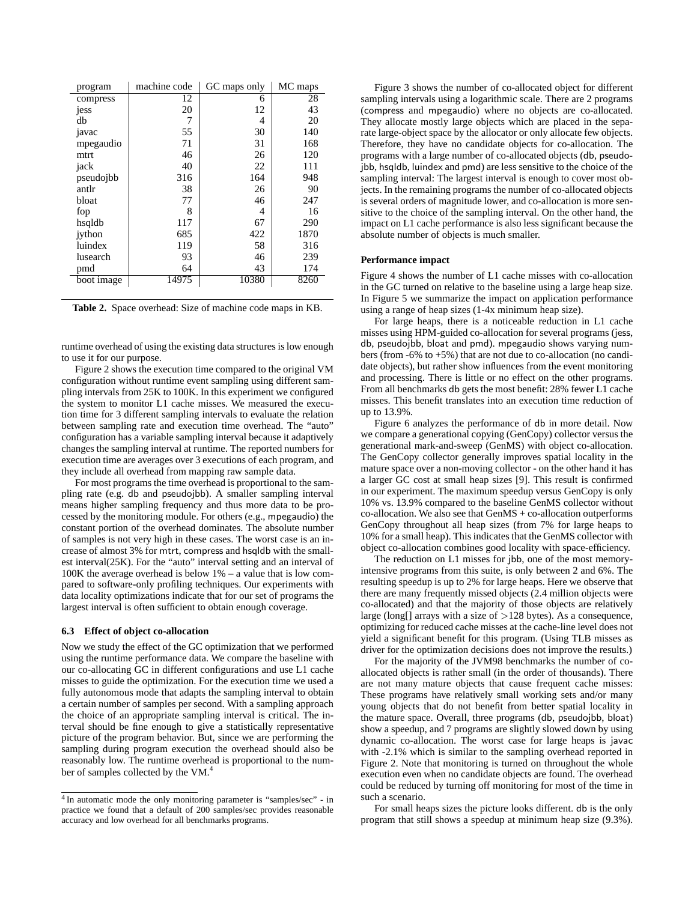| program    | machine code | GC maps only | MC maps |
|------------|--------------|--------------|---------|
| compress   | 12           | 6            | 28      |
| jess       | 20           | 12           | 43      |
| db         | 7            | 4            | 20      |
| javac      | 55           | 30           | 140     |
| mpegaudio  | 71           | 31           | 168     |
| mtrt       | 46           | 26           | 120     |
| jack       | 40           | 22           | 111     |
| pseudojbb  | 316          | 164          | 948     |
| antlr      | 38           | 26           | 90      |
| bloat      | 77           | 46           | 247     |
| fop        | 8            | 4            | 16      |
| hsqldb     | 117          | 67           | 290     |
| iython     | 685          | 422          | 1870    |
| luindex    | 119          | 58           | 316     |
| lusearch   | 93           | 46           | 239     |
| pmd        | 64           | 43           | 174     |
| boot image | 14975        | 10380        | 8260    |

**Table 2.** Space overhead: Size of machine code maps in KB.

runtime overhead of using the existing data structures is low enough to use it for our purpose.

Figure 2 shows the execution time compared to the original VM configuration without runtime event sampling using different sampling intervals from 25K to 100K. In this experiment we configured the system to monitor L1 cache misses. We measured the execution time for 3 different sampling intervals to evaluate the relation between sampling rate and execution time overhead. The "auto" configuration has a variable sampling interval because it adaptively changes the sampling interval at runtime. The reported numbers for execution time are averages over 3 executions of each program, and they include all overhead from mapping raw sample data.

For most programs the time overhead is proportional to the sampling rate (e.g. db and pseudojbb). A smaller sampling interval means higher sampling frequency and thus more data to be processed by the monitoring module. For others (e.g., mpegaudio) the constant portion of the overhead dominates. The absolute number of samples is not very high in these cases. The worst case is an increase of almost 3% for mtrt, compress and hsqldb with the smallest interval(25K). For the "auto" interval setting and an interval of  $100K$  the average overhead is below  $1\%$  – a value that is low compared to software-only profiling techniques. Our experiments with data locality optimizations indicate that for our set of programs the largest interval is often sufficient to obtain enough coverage.

#### **6.3 Effect of object co-allocation**

Now we study the effect of the GC optimization that we performed using the runtime performance data. We compare the baseline with our co-allocating GC in different configurations and use L1 cache misses to guide the optimization. For the execution time we used a fully autonomous mode that adapts the sampling interval to obtain a certain number of samples per second. With a sampling approach the choice of an appropriate sampling interval is critical. The interval should be fine enough to give a statistically representative picture of the program behavior. But, since we are performing the sampling during program execution the overhead should also be reasonably low. The runtime overhead is proportional to the number of samples collected by the VM.<sup>4</sup>

Figure 3 shows the number of co-allocated object for different sampling intervals using a logarithmic scale. There are 2 programs (compress and mpegaudio) where no objects are co-allocated. They allocate mostly large objects which are placed in the separate large-object space by the allocator or only allocate few objects. Therefore, they have no candidate objects for co-allocation. The programs with a large number of co-allocated objects (db, pseudojbb, hsqldb, luindex and pmd) are less sensitive to the choice of the sampling interval: The largest interval is enough to cover most objects. In the remaining programs the number of co-allocated objects is several orders of magnitude lower, and co-allocation is more sensitive to the choice of the sampling interval. On the other hand, the impact on L1 cache performance is also less significant because the absolute number of objects is much smaller.

## **Performance impact**

Figure 4 shows the number of L1 cache misses with co-allocation in the GC turned on relative to the baseline using a large heap size. In Figure 5 we summarize the impact on application performance using a range of heap sizes (1-4x minimum heap size).

For large heaps, there is a noticeable reduction in L1 cache misses using HPM-guided co-allocation for several programs (jess, db, pseudojbb, bloat and pmd). mpegaudio shows varying numbers (from -6% to +5%) that are not due to co-allocation (no candidate objects), but rather show influences from the event monitoring and processing. There is little or no effect on the other programs. From all benchmarks db gets the most benefit: 28% fewer L1 cache misses. This benefit translates into an execution time reduction of up to 13.9%.

Figure 6 analyzes the performance of db in more detail. Now we compare a generational copying (GenCopy) collector versus the generational mark-and-sweep (GenMS) with object co-allocation. The GenCopy collector generally improves spatial locality in the mature space over a non-moving collector - on the other hand it has a larger GC cost at small heap sizes [9]. This result is confirmed in our experiment. The maximum speedup versus GenCopy is only 10% vs. 13.9% compared to the baseline GenMS collector without co-allocation. We also see that GenMS + co-allocation outperforms GenCopy throughout all heap sizes (from 7% for large heaps to 10% for a small heap). This indicates that the GenMS collector with object co-allocation combines good locality with space-efficiency.

The reduction on L1 misses for jbb, one of the most memoryintensive programs from this suite, is only between 2 and 6%. The resulting speedup is up to 2% for large heaps. Here we observe that there are many frequently missed objects (2.4 million objects were co-allocated) and that the majority of those objects are relatively large (long[] arrays with a size of *>*128 bytes). As a consequence, optimizing for reduced cache misses at the cache-line level does not yield a significant benefit for this program. (Using TLB misses as driver for the optimization decisions does not improve the results.)

For the majority of the JVM98 benchmarks the number of coallocated objects is rather small (in the order of thousands). There are not many mature objects that cause frequent cache misses: These programs have relatively small working sets and/or many young objects that do not benefit from better spatial locality in the mature space. Overall, three programs (db, pseudojbb, bloat) show a speedup, and 7 programs are slightly slowed down by using dynamic co-allocation. The worst case for large heaps is javac with -2.1% which is similar to the sampling overhead reported in Figure 2. Note that monitoring is turned on throughout the whole execution even when no candidate objects are found. The overhead could be reduced by turning off monitoring for most of the time in such a scenario.

For small heaps sizes the picture looks different. db is the only program that still shows a speedup at minimum heap size (9.3%).

<sup>4</sup> In automatic mode the only monitoring parameter is "samples/sec" - in practice we found that a default of 200 samples/sec provides reasonable accuracy and low overhead for all benchmarks programs.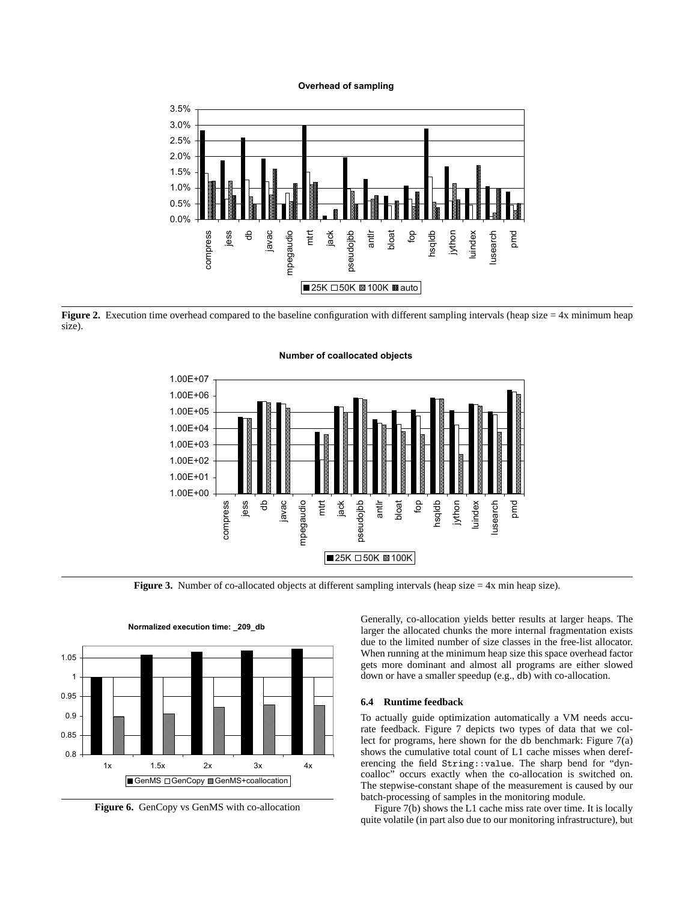#### **Overhead of sampling**



**Figure 2.** Execution time overhead compared to the baseline configuration with different sampling intervals (heap size  $=$  4x minimum heap size).



**Number of coallocated objects**

**Figure 3.** Number of co-allocated objects at different sampling intervals (heap size  $= 4x$  min heap size).



**Figure 6.** GenCopy vs GenMS with co-allocation

Generally, co-allocation yields better results at larger heaps. The larger the allocated chunks the more internal fragmentation exists due to the limited number of size classes in the free-list allocator. When running at the minimum heap size this space overhead factor gets more dominant and almost all programs are either slowed down or have a smaller speedup (e.g., db) with co-allocation.

#### **6.4 Runtime feedback**

To actually guide optimization automatically a VM needs accurate feedback. Figure 7 depicts two types of data that we collect for programs, here shown for the db benchmark: Figure 7(a) shows the cumulative total count of L1 cache misses when dereferencing the field String::value. The sharp bend for "dyncoalloc" occurs exactly when the co-allocation is switched on. The stepwise-constant shape of the measurement is caused by our batch-processing of samples in the monitoring module.

Figure 7(b) shows the L1 cache miss rate over time. It is locally quite volatile (in part also due to our monitoring infrastructure), but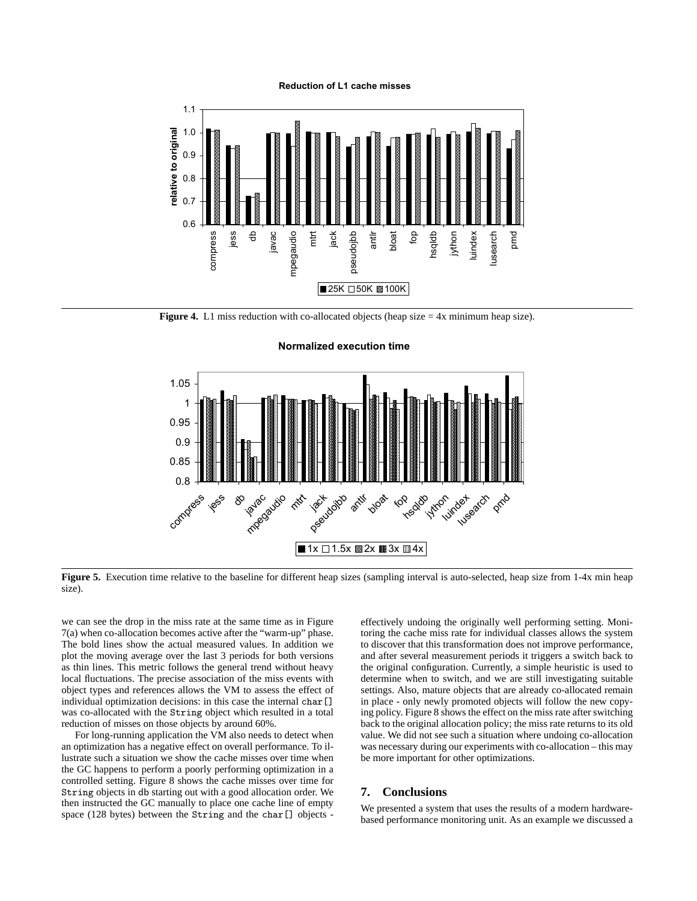#### **Reduction of L1 cache misses**



**Figure 4.** L1 miss reduction with co-allocated objects (heap size = 4x minimum heap size).



## **Normalized execution time**

**Figure 5.** Execution time relative to the baseline for different heap sizes (sampling interval is auto-selected, heap size from 1-4x min heap size).

we can see the drop in the miss rate at the same time as in Figure 7(a) when co-allocation becomes active after the "warm-up" phase. The bold lines show the actual measured values. In addition we plot the moving average over the last 3 periods for both versions as thin lines. This metric follows the general trend without heavy local fluctuations. The precise association of the miss events with object types and references allows the VM to assess the effect of individual optimization decisions: in this case the internal char [] was co-allocated with the String object which resulted in a total reduction of misses on those objects by around 60%.

For long-running application the VM also needs to detect when an optimization has a negative effect on overall performance. To illustrate such a situation we show the cache misses over time when the GC happens to perform a poorly performing optimization in a controlled setting. Figure 8 shows the cache misses over time for String objects in db starting out with a good allocation order. We then instructed the GC manually to place one cache line of empty space (128 bytes) between the String and the char[] objects -

effectively undoing the originally well performing setting. Monitoring the cache miss rate for individual classes allows the system to discover that this transformation does not improve performance, and after several measurement periods it triggers a switch back to the original configuration. Currently, a simple heuristic is used to determine when to switch, and we are still investigating suitable settings. Also, mature objects that are already co-allocated remain in place - only newly promoted objects will follow the new copying policy. Figure 8 shows the effect on the miss rate after switching back to the original allocation policy; the miss rate returns to its old value. We did not see such a situation where undoing co-allocation was necessary during our experiments with co-allocation – this may be more important for other optimizations.

## **7. Conclusions**

We presented a system that uses the results of a modern hardwarebased performance monitoring unit. As an example we discussed a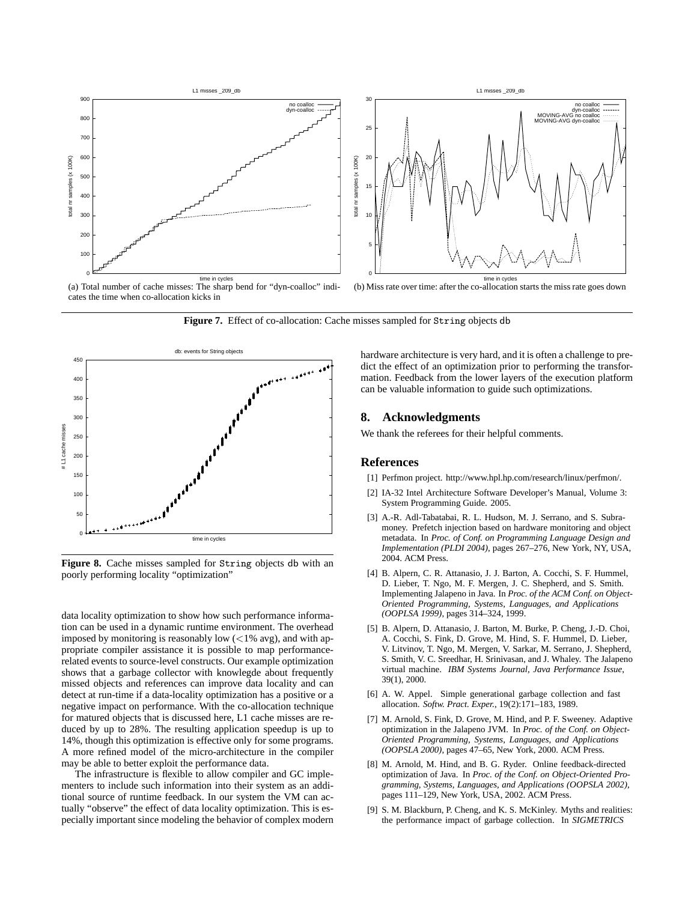

(a) Total number of cache misses: The sharp bend for "dyn-coalloc" indicates the time when co-allocation kicks in

(b) Miss rate over time: after the co-allocation starts the miss rate goes down

**Figure 7.** Effect of co-allocation: Cache misses sampled for String objects db



**Figure 8.** Cache misses sampled for String objects db with an poorly performing locality "optimization"

data locality optimization to show how such performance information can be used in a dynamic runtime environment. The overhead imposed by monitoring is reasonably low (*<*1% avg), and with appropriate compiler assistance it is possible to map performancerelated events to source-level constructs. Our example optimization shows that a garbage collector with knowlegde about frequently missed objects and references can improve data locality and can detect at run-time if a data-locality optimization has a positive or a negative impact on performance. With the co-allocation technique for matured objects that is discussed here, L1 cache misses are reduced by up to 28%. The resulting application speedup is up to 14%, though this optimization is effective only for some programs. A more refined model of the micro-architecture in the compiler may be able to better exploit the performance data.

The infrastructure is flexible to allow compiler and GC implementers to include such information into their system as an additional source of runtime feedback. In our system the VM can actually "observe" the effect of data locality optimization. This is especially important since modeling the behavior of complex modern hardware architecture is very hard, and it is often a challenge to predict the effect of an optimization prior to performing the transformation. Feedback from the lower layers of the execution platform can be valuable information to guide such optimizations.

## **8. Acknowledgments**

We thank the referees for their helpful comments.

## **References**

- [1] Perfmon project. http://www.hpl.hp.com/research/linux/perfmon/.
- [2] IA-32 Intel Architecture Software Developer's Manual, Volume 3: System Programming Guide. 2005.
- [3] A.-R. Adl-Tabatabai, R. L. Hudson, M. J. Serrano, and S. Subramoney. Prefetch injection based on hardware monitoring and object metadata. In *Proc. of Conf. on Programming Language Design and Implementation (PLDI 2004)*, pages 267–276, New York, NY, USA, 2004. ACM Press.
- [4] B. Alpern, C. R. Attanasio, J. J. Barton, A. Cocchi, S. F. Hummel, D. Lieber, T. Ngo, M. F. Mergen, J. C. Shepherd, and S. Smith. Implementing Jalapeno in Java. In *Proc. of the ACM Conf. on Object-Oriented Programming, Systems, Languages, and Applications (OOPLSA 1999)*, pages 314–324, 1999.
- [5] B. Alpern, D. Attanasio, J. Barton, M. Burke, P. Cheng, J.-D. Choi, A. Cocchi, S. Fink, D. Grove, M. Hind, S. F. Hummel, D. Lieber, V. Litvinov, T. Ngo, M. Mergen, V. Sarkar, M. Serrano, J. Shepherd, S. Smith, V. C. Sreedhar, H. Srinivasan, and J. Whaley. The Jalapeno virtual machine. *IBM Systems Journal, Java Performance Issue*, 39(1), 2000.
- [6] A. W. Appel. Simple generational garbage collection and fast allocation. *Softw. Pract. Exper.*, 19(2):171–183, 1989.
- [7] M. Arnold, S. Fink, D. Grove, M. Hind, and P. F. Sweeney. Adaptive optimization in the Jalapeno JVM. In *Proc. of the Conf. on Object-Oriented Programming, Systems, Languages, and Applications (OOPSLA 2000)*, pages 47–65, New York, 2000. ACM Press.
- [8] M. Arnold, M. Hind, and B. G. Ryder. Online feedback-directed optimization of Java. In *Proc. of the Conf. on Object-Oriented Programming, Systems, Languages, and Applications (OOPSLA 2002)*, pages 111–129, New York, USA, 2002. ACM Press.
- [9] S. M. Blackburn, P. Cheng, and K. S. McKinley. Myths and realities: the performance impact of garbage collection. In *SIGMETRICS*